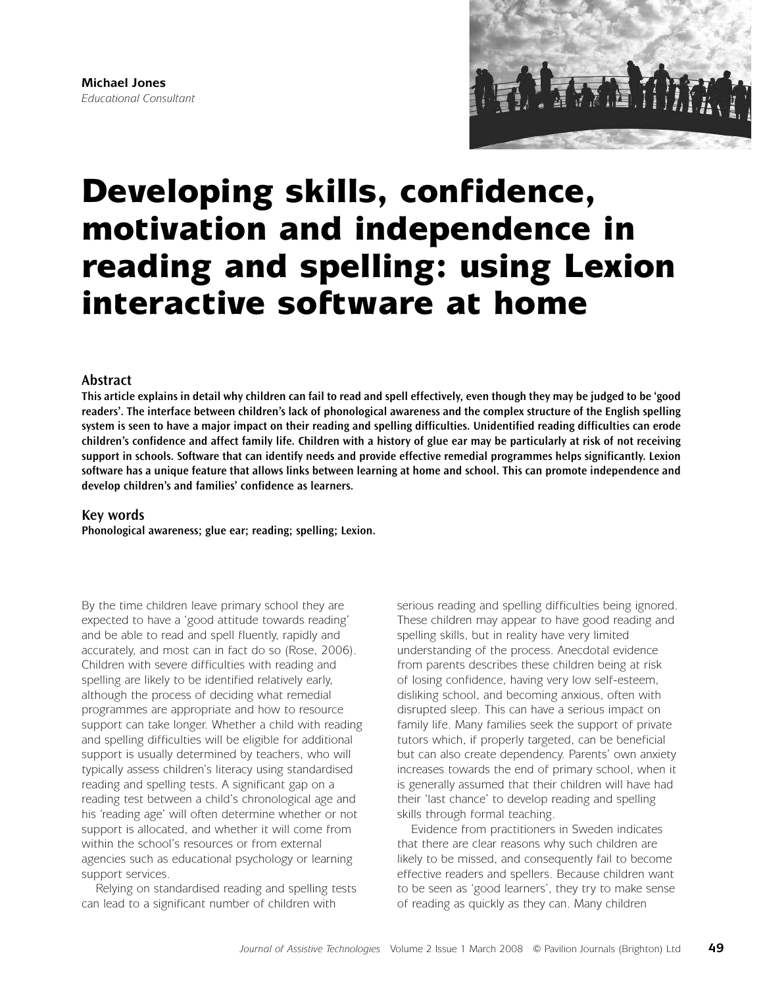

# Developing skills, confidence, motivation and independence in reading and spelling: using Lexion interactive software at home

## **Abstract**

**This article explains in detail why children can fail to read and spell effectively, even though they may be judged to be 'good readers'. The interface between children's lack of phonological awareness and the complex structure of the English spelling system is seen to have a major impact on their reading and spelling difficulties. Unidentified reading difficulties can erode children's confidence and affect family life. Children with a history of glue ear may be particularly at risk of not receiving support in schools. Software that can identify needs and provide effective remedial programmes helps significantly. Lexion software has a unique feature that allows links between learning at home and school. This can promote independence and develop children's and families' confidence as learners.**

#### **Key words**

**Phonological awareness; glue ear; reading; spelling; Lexion.**

By the time children leave primary school they are expected to have a 'good attitude towards reading' and be able to read and spell fluently, rapidly and accurately, and most can in fact do so (Rose, 2006). Children with severe difficulties with reading and spelling are likely to be identified relatively early, although the process of deciding what remedial programmes are appropriate and how to resource support can take longer. Whether a child with reading and spelling difficulties will be eligible for additional support is usually determined by teachers, who will typically assess children's literacy using standardised reading and spelling tests. A significant gap on a reading test between a child's chronological age and his 'reading age' will often determine whether or not support is allocated, and whether it will come from within the school's resources or from external agencies such as educational psychology or learning support services.

Relying on standardised reading and spelling tests can lead to a significant number of children with

serious reading and spelling difficulties being ignored. These children may appear to have good reading and spelling skills, but in reality have very limited understanding of the process. Anecdotal evidence from parents describes these children being at risk of losing confidence, having very low self-esteem, disliking school, and becoming anxious, often with disrupted sleep. This can have a serious impact on family life. Many families seek the support of private tutors which, if properly targeted, can be beneficial but can also create dependency. Parents' own anxiety increases towards the end of primary school, when it is generally assumed that their children will have had their 'last chance' to develop reading and spelling skills through formal teaching.

Evidence from practitioners in Sweden indicates that there are clear reasons why such children are likely to be missed, and consequently fail to become effective readers and spellers. Because children want to be seen as 'good learners', they try to make sense of reading as quickly as they can. Many children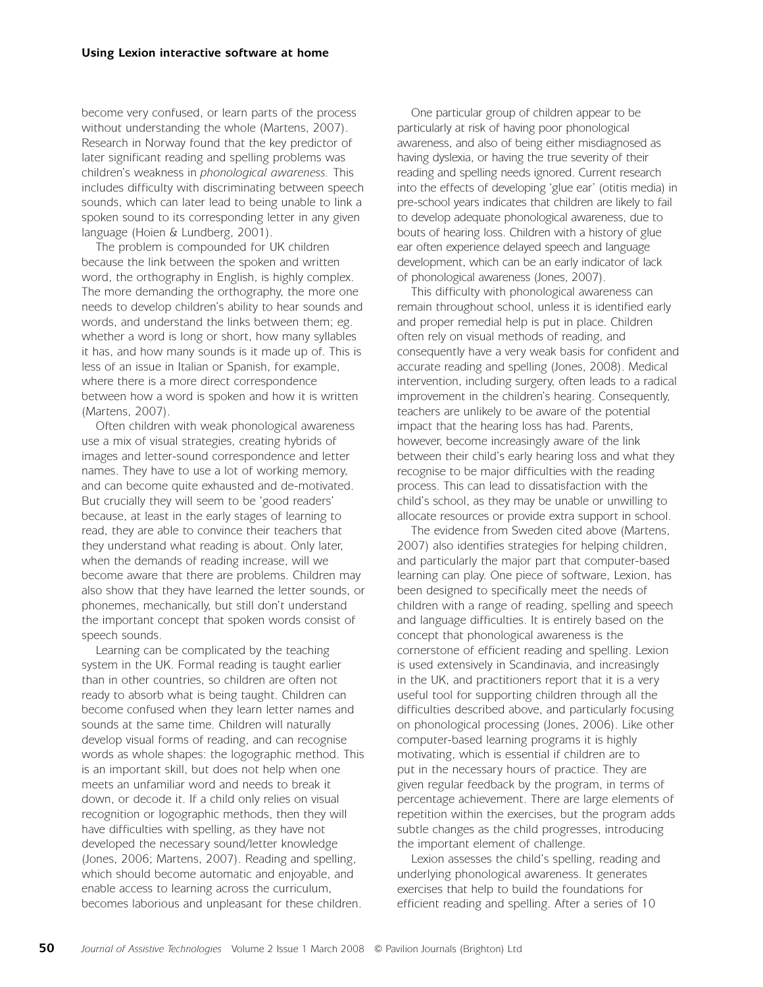become very confused, or learn parts of the process without understanding the whole (Martens, 2007). Research in Norway found that the key predictor of later significant reading and spelling problems was children's weakness in *phonological awareness.* This includes difficulty with discriminating between speech sounds, which can later lead to being unable to link a spoken sound to its corresponding letter in any given language (Hoien & Lundberg, 2001).

The problem is compounded for UK children because the link between the spoken and written word, the orthography in English, is highly complex. The more demanding the orthography, the more one needs to develop children's ability to hear sounds and words, and understand the links between them; eg. whether a word is long or short, how many syllables it has, and how many sounds is it made up of. This is less of an issue in Italian or Spanish, for example, where there is a more direct correspondence between how a word is spoken and how it is written (Martens, 2007).

Often children with weak phonological awareness use a mix of visual strategies, creating hybrids of images and letter-sound correspondence and letter names. They have to use a lot of working memory, and can become quite exhausted and de-motivated. But crucially they will seem to be 'good readers' because, at least in the early stages of learning to read, they are able to convince their teachers that they understand what reading is about. Only later, when the demands of reading increase, will we become aware that there are problems. Children may also show that they have learned the letter sounds, or phonemes, mechanically, but still don't understand the important concept that spoken words consist of speech sounds.

Learning can be complicated by the teaching system in the UK. Formal reading is taught earlier than in other countries, so children are often not ready to absorb what is being taught. Children can become confused when they learn letter names and sounds at the same time. Children will naturally develop visual forms of reading, and can recognise words as whole shapes: the logographic method. This is an important skill, but does not help when one meets an unfamiliar word and needs to break it down, or decode it. If a child only relies on visual recognition or logographic methods, then they will have difficulties with spelling, as they have not developed the necessary sound/letter knowledge (Jones, 2006; Martens, 2007). Reading and spelling, which should become automatic and enjoyable, and enable access to learning across the curriculum, becomes laborious and unpleasant for these children.

One particular group of children appear to be particularly at risk of having poor phonological awareness, and also of being either misdiagnosed as having dyslexia, or having the true severity of their reading and spelling needs ignored. Current research into the effects of developing 'glue ear' (otitis media) in pre-school years indicates that children are likely to fail to develop adequate phonological awareness, due to bouts of hearing loss. Children with a history of glue ear often experience delayed speech and language development, which can be an early indicator of lack of phonological awareness (Jones, 2007).

This difficulty with phonological awareness can remain throughout school, unless it is identified early and proper remedial help is put in place. Children often rely on visual methods of reading, and consequently have a very weak basis for confident and accurate reading and spelling (Jones, 2008). Medical intervention, including surgery, often leads to a radical improvement in the children's hearing. Consequently, teachers are unlikely to be aware of the potential impact that the hearing loss has had. Parents, however, become increasingly aware of the link between their child's early hearing loss and what they recognise to be major difficulties with the reading process. This can lead to dissatisfaction with the child's school, as they may be unable or unwilling to allocate resources or provide extra support in school.

The evidence from Sweden cited above (Martens, 2007) also identifies strategies for helping children, and particularly the major part that computer-based learning can play. One piece of software, Lexion, has been designed to specifically meet the needs of children with a range of reading, spelling and speech and language difficulties. It is entirely based on the concept that phonological awareness is the cornerstone of efficient reading and spelling. Lexion is used extensively in Scandinavia, and increasingly in the UK, and practitioners report that it is a very useful tool for supporting children through all the difficulties described above, and particularly focusing on phonological processing (Jones, 2006). Like other computer-based learning programs it is highly motivating, which is essential if children are to put in the necessary hours of practice. They are given regular feedback by the program, in terms of percentage achievement. There are large elements of repetition within the exercises, but the program adds subtle changes as the child progresses, introducing the important element of challenge.

Lexion assesses the child's spelling, reading and underlying phonological awareness. It generates exercises that help to build the foundations for efficient reading and spelling. After a series of 10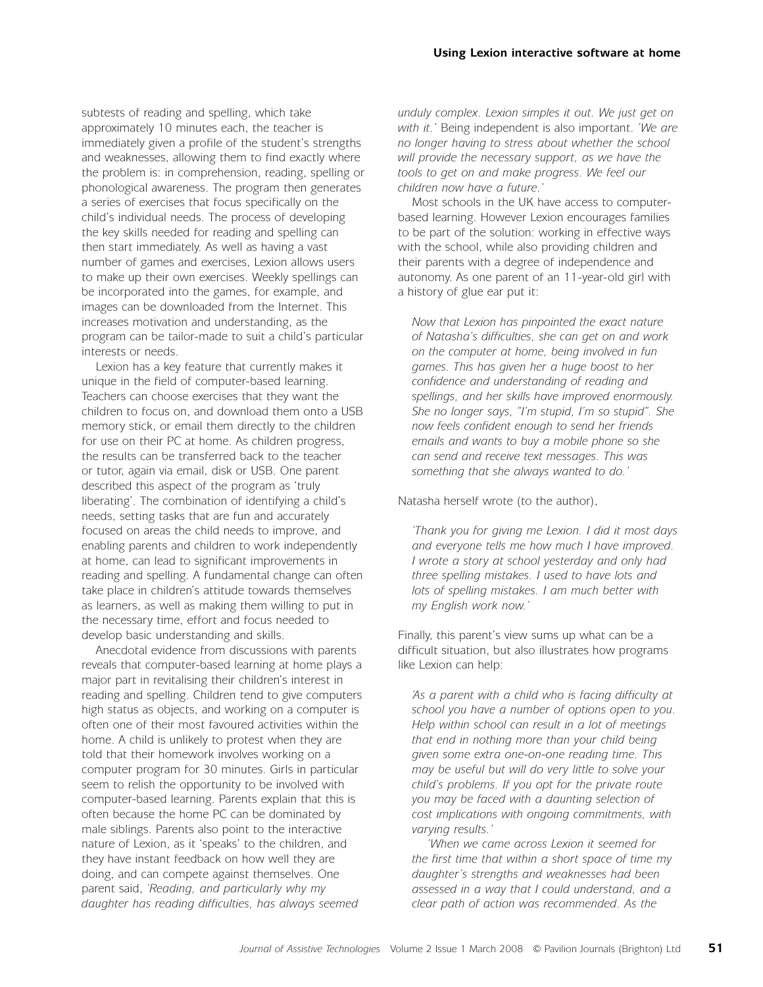subtests of reading and spelling, which take approximately 10 minutes each, the teacher is immediately given a profile of the student's strengths and weaknesses, allowing them to find exactly where the problem is: in comprehension, reading, spelling or phonological awareness. The program then generates a series of exercises that focus specifically on the child's individual needs. The process of developing the key skills needed for reading and spelling can then start immediately. As well as having a vast number of games and exercises, Lexion allows users to make up their own exercises. Weekly spellings can be incorporated into the games, for example, and images can be downloaded from the Internet. This increases motivation and understanding, as the program can be tailor-made to suit a child's particular interests or needs.

Lexion has a key feature that currently makes it unique in the field of computer-based learning. Teachers can choose exercises that they want the children to focus on, and download them onto a USB memory stick, or email them directly to the children for use on their PC at home. As children progress, the results can be transferred back to the teacher or tutor, again via email, disk or USB. One parent described this aspect of the program as 'truly liberating'. The combination of identifying a child's needs, setting tasks that are fun and accurately focused on areas the child needs to improve, and enabling parents and children to work independently at home, can lead to significant improvements in reading and spelling. A fundamental change can often take place in children's attitude towards themselves as learners, as well as making them willing to put in the necessary time, effort and focus needed to develop basic understanding and skills.

Anecdotal evidence from discussions with parents reveals that computer-based learning at home plays a major part in revitalising their children's interest in reading and spelling. Children tend to give computers high status as objects, and working on a computer is often one of their most favoured activities within the home. A child is unlikely to protest when they are told that their homework involves working on a computer program for 30 minutes. Girls in particular seem to relish the opportunity to be involved with computer-based learning. Parents explain that this is often because the home PC can be dominated by male siblings. Parents also point to the interactive nature of Lexion, as it 'speaks' to the children, and they have instant feedback on how well they are doing, and can compete against themselves. One parent said, *'Reading, and particularly why my daughter has reading difficulties, has always seemed*

*unduly complex. Lexion simples it out. We just get on with it.'* Being independent is also important. *'We are no longer having to stress about whether the school will provide the necessary support, as we have the tools to get on and make progress. We feel our children now have a future.'*

Most schools in the UK have access to computerbased learning. However Lexion encourages families to be part of the solution: working in effective ways with the school, while also providing children and their parents with a degree of independence and autonomy. As one parent of an 11-year-old girl with a history of glue ear put it:

*Now that Lexion has pinpointed the exact nature of Natasha's difficulties, she can get on and work on the computer at home, being involved in fun games. This has given her a huge boost to her confidence and understanding of reading and spellings, and her skills have improved enormously. She no longer says, "I'm stupid, I'm so stupid". She now feels confident enough to send her friends emails and wants to buy a mobile phone so she can send and receive text messages. This was something that she always wanted to do.'*

Natasha herself wrote (to the author),

*'Thank you for giving me Lexion. I did it most days and everyone tells me how much I have improved. I wrote a story at school yesterday and only had three spelling mistakes. I used to have lots and lots of spelling mistakes. I am much better with my English work now.'* 

Finally, this parent's view sums up what can be a difficult situation, but also illustrates how programs like Lexion can help:

*'As a parent with a child who is facing difficulty at school you have a number of options open to you. Help within school can result in a lot of meetings that end in nothing more than your child being given some extra one-on-one reading time. This may be useful but will do very little to solve your child's problems. If you opt for the private route you may be faced with a daunting selection of cost implications with ongoing commitments, with varying results.'*

*'When we came across Lexion it seemed for the first time that within a short space of time my daughter's strengths and weaknesses had been assessed in a way that I could understand, and a clear path of action was recommended. As the*